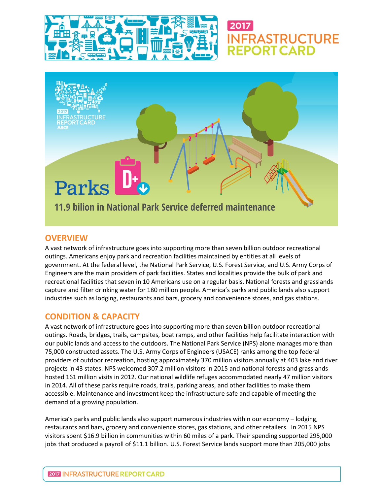



**IFRASTRUCTURE** 

**EPORT CARD** 

### **OVERVIEW**

A vast network of infrastructure goes into supporting more than seven billion outdoor recreational outings. Americans enjoy park and recreation facilities maintained by entities at all levels of government. At the federal level, the National Park Service, U.S. Forest Service, and U.S. Army Corps of Engineers are the main providers of park facilities. States and localities provide the bulk of park and recreational facilities that seven in 10 Americans use on a regular basis. National forests and grasslands capture and filter drinking water for 180 million people. America's parks and public lands also support industries such as lodging, restaurants and bars, grocery and convenience stores, and gas stations.

# **CONDITION & CAPACITY**

A vast network of infrastructure goes into supporting more than seven billion outdoor recreational outings. Roads, bridges, trails, campsites, boat ramps, and other facilities help facilitate interaction with our public lands and access to the outdoors. The National Park Service (NPS) alone manages more than 75,000 constructed assets. The U.S. Army Corps of Engineers (USACE) ranks among the top federal providers of outdoor recreation, hosting approximately 370 million visitors annually at 403 lake and river projects in 43 states. NPS welcomed 307.2 million visitors in 2015 and national forests and grasslands hosted 161 million visits in 2012. Our national wildlife refuges accommodated nearly 47 million visitors in 2014. All of these parks require roads, trails, parking areas, and other facilities to make them accessible. Maintenance and investment keep the infrastructure safe and capable of meeting the demand of a growing population.

America's parks and public lands also support numerous industries within our economy – lodging, restaurants and bars, grocery and convenience stores, gas stations, and other retailers. In 2015 NPS visitors spent \$16.9 billion in communities within 60 miles of a park. Their spending supported 295,000 jobs that produced a payroll of \$11.1 billion. U.S. Forest Service lands support more than 205,000 jobs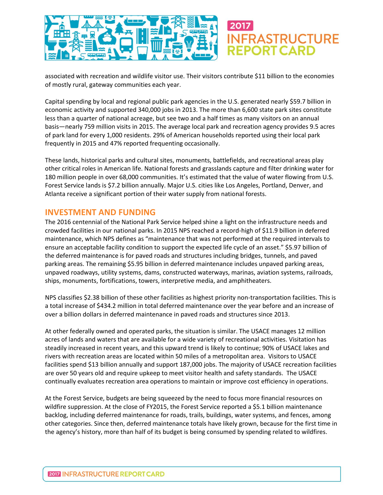

associated with recreation and wildlife visitor use. Their visitors contribute \$11 billion to the economies of mostly rural, gateway communities each year.

Capital spending by local and regional public park agencies in the U.S. generated nearly \$59.7 billion in economic activity and supported 340,000 jobs in 2013. The more than 6,600 state park sites constitute less than a quarter of national acreage, but see two and a half times as many visitors on an annual basis—nearly 759 million visits in 2015. The average local park and recreation agency provides 9.5 acres of park land for every 1,000 residents. 29% of American households reported using their local park frequently in 2015 and 47% reported frequenting occasionally.

These lands, historical parks and cultural sites, monuments, battlefields, and recreational areas play other critical roles in American life. National forests and grasslands capture and filter drinking water for 180 million people in over 68,000 communities. It's estimated that the value of water flowing from U.S. Forest Service lands is \$7.2 billion annually. Major U.S. cities like Los Angeles, Portland, Denver, and Atlanta receive a significant portion of their water supply from national forests.

#### **INVESTMENT AND FUNDING**

The 2016 centennial of the National Park Service helped shine a light on the infrastructure needs and crowded facilities in our national parks. In 2015 NPS reached a record-high of \$11.9 billion in deferred maintenance, which NPS defines as "maintenance that was not performed at the required intervals to ensure an acceptable facility condition to support the expected life cycle of an asset." \$5.97 billion of the deferred maintenance is for paved roads and structures including bridges, tunnels, and paved parking areas. The remaining \$5.95 billion in deferred maintenance includes unpaved parking areas, unpaved roadways, utility systems, dams, constructed waterways, marinas, aviation systems, railroads, ships, monuments, fortifications, towers, interpretive media, and amphitheaters.

NPS classifies \$2.38 billion of these other facilities as highest priority non-transportation facilities. This is a total increase of \$434.2 million in total deferred maintenance over the year before and an increase of over a billion dollars in deferred maintenance in paved roads and structures since 2013.

At other federally owned and operated parks, the situation is similar. The USACE manages 12 million acres of lands and waters that are available for a wide variety of recreational activities. Visitation has steadily increased in recent years, and this upward trend is likely to continue; 90% of USACE lakes and rivers with recreation areas are located within 50 miles of a metropolitan area. Visitors to USACE facilities spend \$13 billion annually and support 187,000 jobs. The majority of USACE recreation facilities are over 50 years old and require upkeep to meet visitor health and safety standards. The USACE continually evaluates recreation area operations to maintain or improve cost efficiency in operations.

At the Forest Service, budgets are being squeezed by the need to focus more financial resources on wildfire suppression. At the close of FY2015, the Forest Service reported a \$5.1 billion maintenance backlog, including deferred maintenance for roads, trails, buildings, water systems, and fences, among other categories. Since then, deferred maintenance totals have likely grown, because for the first time in the agency's history, more than half of its budget is being consumed by spending related to wildfires.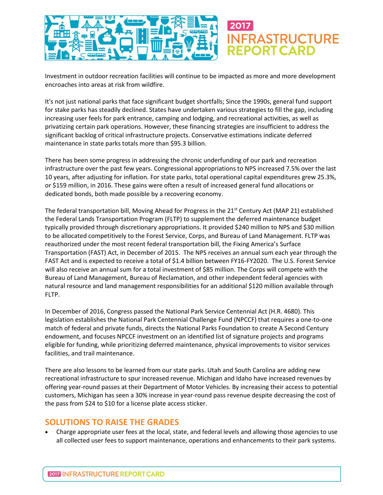

Investment in outdoor recreation facilities will continue to be impacted as more and more development encroaches into areas at risk from wildfire.

It's not just national parks that face significant budget shortfalls; Since the 1990s, general fund support for stake parks has steadily declined. States have undertaken various strategies to fill the gap, including increasing user feels for park entrance, camping and lodging, and recreational activities, as well as privatizing certain park operations. However, these financing strategies are insufficient to address the significant backlog of critical infrastructure projects. Conservative estimations indicate deferred maintenance in state parks totals more than \$95.3 billion.

There has been some progress in addressing the chronic underfunding of our park and recreation infrastructure over the past few years. Congressional appropriations to NPS increased 7.5% over the last 10 years, after adjusting for inflation. For state parks, total operational capital expenditures grew 25.3%, or \$159 million, in 2016. These gains were often a result of increased general fund allocations or dedicated bonds, both made possible by a recovering economy.

The federal transportation bill, Moving Ahead for Progress in the  $21<sup>st</sup>$  Century Act (MAP 21) established the Federal Lands Transportation Program (FLTP) to supplement the deferred maintenance budget typically provided through discretionary appropriations. It provided \$240 million to NPS and \$30 million to be allocated competitively to the Forest Service, Corps, and Bureau of Land Management. FLTP was reauthorized under the most recent federal transportation bill, the Fixing America's Surface Transportation (FAST) Act, in December of 2015. The NPS receives an annual sum each year through the FAST Act and is expected to receive a total of \$1.4 billion between FY16-FY2020. The U.S. Forest Service will also receive an annual sum for a total investment of \$85 million. The Corps will compete with the Bureau of Land Management, Bureau of Reclamation, and other independent federal agencies with natural resource and land management responsibilities for an additional \$120 million available through FLTP.

In December of 2016, Congress passed the National Park Service Centennial Act (H.R. 4680). This legislation establishes the National Park Centennial Challenge Fund (NPCCF) that requires a one-to-one match of federal and private funds, directs the National Parks Foundation to create A Second Century endowment, and focuses NPCCF investment on an identified list of signature projects and programs eligible for funding, while prioritizing deferred maintenance, physical improvements to visitor services facilities, and trail maintenance.

There are also lessons to be learned from our state parks. Utah and South Carolina are adding new recreational infrastructure to spur increased revenue. Michigan and Idaho have increased revenues by offering year-round passes at their Department of Motor Vehicles. By increasing their access to potential customers, Michigan has seen a 30% increase in year-round pass revenue despite decreasing the cost of the pass from \$24 to \$10 for a license plate access sticker.

#### **SOLUTIONS TO RAISE THE GRADES**

 Charge appropriate user fees at the local, state, and federal levels and allowing those agencies to use all collected user fees to support maintenance, operations and enhancements to their park systems.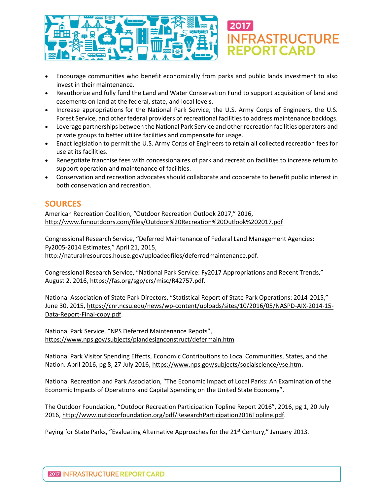

- Encourage communities who benefit economically from parks and public lands investment to also invest in their maintenance.
- Reauthorize and fully fund the Land and Water Conservation Fund to support acquisition of land and easements on land at the federal, state, and local levels.
- Increase appropriations for the National Park Service, the U.S. Army Corps of Engineers, the U.S. Forest Service, and other federal providers of recreational facilities to address maintenance backlogs.
- Leverage partnerships between the National Park Service and other recreation facilities operators and private groups to better utilize facilities and compensate for usage.
- Enact legislation to permit the U.S. Army Corps of Engineers to retain all collected recreation fees for use at its facilities.
- Renegotiate franchise fees with concessionaires of park and recreation facilities to increase return to support operation and maintenance of facilities.
- Conservation and recreation advocates should collaborate and cooperate to benefit public interest in both conservation and recreation.

## **SOURCES**

American Recreation Coalition, "Outdoor Recreation Outlook 2017," 2016, <http://www.funoutdoors.com/files/Outdoor%20Recreation%20Outlook%202017.pdf>

Congressional Research Service, "Deferred Maintenance of Federal Land Management Agencies: Fy2005-2014 Estimates," April 21, 2015, [http://naturalresources.house.gov/uploadedfiles/deferredmaintenance.pdf.](http://naturalresources.house.gov/uploadedfiles/deferredmaintenance.pdf)

Congressional Research Service, "National Park Service: Fy2017 Appropriations and Recent Trends," August 2, 2016, [https://fas.org/sgp/crs/misc/R42757.pdf.](https://fas.org/sgp/crs/misc/R42757.pdf)

National Association of State Park Directors, "Statistical Report of State Park Operations: 2014-2015," June 30, 2015, [https://cnr.ncsu.edu/news/wp-content/uploads/sites/10/2016/05/NASPD-AIX-2014-15-](https://cnr.ncsu.edu/news/wp-content/uploads/sites/10/2016/05/NASPD-AIX-2014-15-Data-Report-Final-copy.pdf) [Data-Report-Final-copy.pdf.](https://cnr.ncsu.edu/news/wp-content/uploads/sites/10/2016/05/NASPD-AIX-2014-15-Data-Report-Final-copy.pdf)

National Park Service, "NPS Deferred Maintenance Repots", <https://www.nps.gov/subjects/plandesignconstruct/defermain.htm>

National Park Visitor Spending Effects, Economic Contributions to Local Communities, States, and the Nation. April 2016, pg 8, 27 July 2016, [https://www.nps.gov/subjects/socialscience/vse.htm.](https://www.nps.gov/subjects/socialscience/vse.htm)

National Recreation and Park Association, "The Economic Impact of Local Parks: An Examination of the Economic Impacts of Operations and Capital Spending on the United State Economy",

The Outdoor Foundation, "Outdoor Recreation Participation Topline Report 2016", 2016, pg 1, 20 July 2016[, http://www.outdoorfoundation.org/pdf/ResearchParticipation2016Topline.pdf.](http://www.outdoorfoundation.org/pdf/ResearchParticipation2016Topline.pdf)

Paying for State Parks, "Evaluating Alternative Approaches for the 21<sup>st</sup> Century," January 2013.